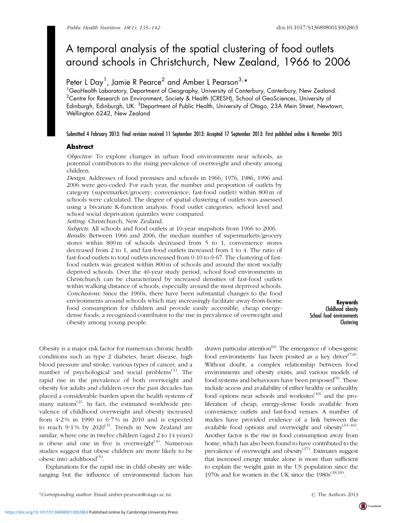# A temporal analysis of the spatial clustering of food outlets around schools in Christchurch, New Zealand, 1966 to 2006

# Peter L Day<sup>1</sup>, Jamie R Pearce<sup>2</sup> and Amber L Pearson<sup>3,</sup>\*

<sup>1</sup>GeoHealth Laboratory, Department of Geography, University of Canterbury, Canterbury, New Zealand:  $^{\rm 2}$ Centre for Research on Environment, Society & Health (CRESH), School of GeoSciences, University of Edinburgh, Edinburgh, UK: <sup>3</sup>Department of Public Health, University of Otago, 23A Mein Street, Newtown, Wellington 6242, New Zealand

#### Submitted 4 February 2013: Final revision received 11 September 2013: Accepted 17 September 2013: First published online 6 November 2013

# **Abstract**

Objective: To explore changes in urban food environments near schools, as potential contributors to the rising prevalence of overweight and obesity among children.

Design: Addresses of food premises and schools in 1966, 1976, 1986, 1996 and 2006 were geo-coded. For each year, the number and proportion of outlets by category (supermarket/grocery; convenience; fast-food outlet) within 800 m of schools were calculated. The degree of spatial clustering of outlets was assessed using a bivariate K-function analysis. Food outlet categories, school level and school social deprivation quintiles were compared.

Setting: Christchurch, New Zealand.

Subjects: All schools and food outlets at 10-year snapshots from 1966 to 2006. Results: Between 1966 and 2006, the median number of supermarkets/grocery stores within 800 m of schools decreased from 5 to 1, convenience stores decreased from 2 to 1, and fast-food outlets increased from 1 to 4. The ratio of fast-food outlets to total outlets increased from  $0.10$  to  $0.67$ . The clustering of fastfood outlets was greatest within 800 m of schools and around the most socially deprived schools. Over the 40-year study period, school food environments in Christchurch can be characterized by increased densities of fast-food outlets within walking distance of schools, especially around the most deprived schools. Conclusions: Since the 1960s, there have been substantial changes to the food environments around schools which may increasingly facilitate away-from-home food consumption for children and provide easily accessible, cheap energydense foods, a recognized contributor to the rise in prevalence of overweight and obesity among young people.

Keywords Childhood obesity School food environments **Clustering** 

Obesity is a major risk factor for numerous chronic health conditions such as type 2 diabetes, heart disease, high blood pressure and stroke, various types of cancer, and a number of psychological and social problems $^{(1)}$  $^{(1)}$  $^{(1)}$ . The rapid rise in the prevalence of both overweight and obesity for adults and children over the past decades has placed a considerable burden upon the health systems of many nations<sup> $(2)$  $(2)$  $(2)$ </sup>. In fact, the estimated worldwide prevalence of childhood overweight and obesity increased from  $4.2\%$  in 1990 to  $6.7\%$  in 2010 and is expected to reach  $9.1\%$  by 2020<sup>[\(3\)](#page-7-0)</sup>. Trends in New Zealand are similar, where one in twelve children (aged 2 to 14 years) is obese and one in five is overweight $(4)$  $(4)$  $(4)$ . Numerous studies suggest that obese children are more likely to be obese into adulthood $(5)$  $(5)$  $(5)$ .

Explanations for the rapid rise in child obesity are wideranging but the influence of environmental factors has drawn particular attention<sup>[\(6](#page-7-0))</sup>. The emergence of 'obesogenic food environments' has been posited as a key driver<sup> $(7,8)$  $(7,8)$ </sup>. Without doubt, a complex relationship between food environments and obesity exists, and various models of food systems and behaviours have been proposed<sup>[\(9](#page-7-0))</sup>. These include access and availability of either healthy or unhealthy food options near schools and worksites $(10)$  and the proliferation of cheap, energy-dense foods available from convenience outlets and fast-food venues. A number of studies have provided evidence of a link between the available food options and overweight and obesity $(11-16)$ . Another factor is the rise in food consumption away from home, which has also been found to have contributed to the prevalence of overweight and obesity $(17)$  $(17)$  $(17)$ . Estimates suggest that increased energy intake alone is more than sufficient to explain the weight gain in the US population since the 1970s and for women in the UK since the  $1980s^{(18,19)}$  $1980s^{(18,19)}$  $1980s^{(18,19)}$ .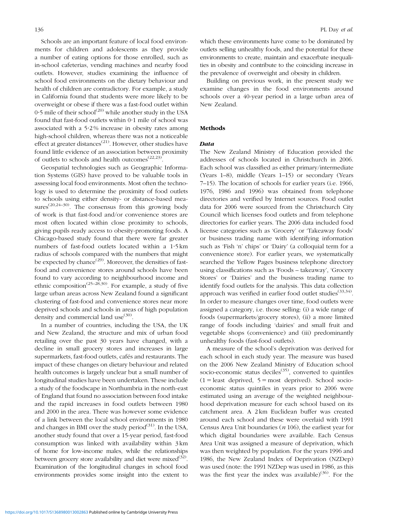Schools are an important feature of local food environments for children and adolescents as they provide a number of eating options for those enrolled, such as in-school cafeterias, vending machines and nearby food outlets. However, studies examining the influence of school food environments on the dietary behaviour and health of children are contradictory. For example, a study in California found that students were more likely to be overweight or obese if there was a fast-food outlet within  $0.5$  mile of their school<sup>([20\)](#page-7-0)</sup> while another study in the USA found that fast-food outlets within 0?1 mile of school was associated with a  $5.2\%$  increase in obesity rates among high-school children, whereas there was not a noticeable effect at greater distances<sup> $(21)$  $(21)$ </sup>. However, other studies have found little evidence of an association between proximity of outlets to schools and health outcomes([22,23\)](#page-7-0).

Geospatial technologies such as Geographic Information Systems (GIS) have proved to be valuable tools in assessing local food environments. Most often the technology is used to determine the proximity of food outlets to schools using either density- or distance-based measures<sup> $(20,24-30)$ </sup>. The consensus from this growing body of work is that fast-food and/or convenience stores are most often located within close proximity to schools, giving pupils ready access to obesity-promoting foods. A Chicago-based study found that there were far greater numbers of fast-food outlets located within a 1.5 km radius of schools compared with the numbers that might be expected by chance<sup> $(29)$  $(29)$ </sup>. Moreover, the densities of fastfood and convenience stores around schools have been found to vary according to neighbourhood income and ethnic composition<sup>[\(25–28,30](#page-7-0))</sup>. For example, a study of five large urban areas across New Zealand found a significant clustering of fast-food and convenience stores near more deprived schools and schools in areas of high population density and commercial land use<sup>[\(30](#page-7-0))</sup>.

In a number of countries, including the USA, the UK and New Zealand, the structure and mix of urban food retailing over the past 30 years have changed, with a decline in small grocery stores and increases in large supermarkets, fast-food outlets, cafés and restaurants. The impact of these changes on dietary behaviour and related health outcomes is largely unclear but a small number of longitudinal studies have been undertaken. These include a study of the foodscape in Northumbria in the north-east of England that found no association between food intake and the rapid increases in food outlets between 1980 and 2000 in the area. There was however some evidence of a link between the local school environments in 1980 and changes in BMI over the study period $(31)$ . In the USA, another study found that over a 15-year period, fast-food consumption was linked with availability within 3 km of home for low-income males, while the relationships between grocery store availability and diet were mixed $(32)$ . Examination of the longitudinal changes in school food environments provides some insight into the extent to which these environments have come to be dominated by outlets selling unhealthy foods, and the potential for these environments to create, maintain and exacerbate inequalities in obesity and contribute to the coinciding increase in the prevalence of overweight and obesity in children.

Building on previous work, in the present study we examine changes in the food environments around schools over a 40-year period in a large urban area of New Zealand.

#### Methods

## **Data**

The New Zealand Ministry of Education provided the addresses of schools located in Christchurch in 2006. Each school was classified as either primary/intermediate (Years 1–8), middle (Years 1–15) or secondary (Years 7–15). The location of schools for earlier years (i.e. 1966, 1976, 1986 and 1996) was obtained from telephone directories and verified by Internet sources. Food outlet data for 2006 were sourced from the Christchurch City Council which licenses food outlets and from telephone directories for earlier years. The 2006 data included food license categories such as 'Grocery' or 'Takeaway foods' or business trading name with identifying information such as 'Fish 'n' chips' or 'Dairy' (a colloquial term for a convenience store). For earlier years, we systematically searched the Yellow Pages business telephone directory using classifications such as 'Foods – takeaway', 'Grocery Stores' or 'Dairies' and the business trading name to identify food outlets for the analysis. This data collection approach was verified in earlier food outlet studies<sup> $(33,34)$  $(33,34)$ </sup>. In order to measure changes over time, food outlets were assigned a category, i.e. those selling: (i) a wide range of foods (supermarkets/grocery stores), (ii) a more limited range of foods including 'dairies' and small fruit and vegetable shops (convenience) and (iii) predominantly unhealthy foods (fast-food outlets).

A measure of the school's deprivation was derived for each school in each study year. The measure was based on the 2006 New Zealand Ministry of Education school socio-economic status deciles<sup> $(35)$ </sup>, converted to quintiles  $(1 =$  least deprived,  $5 =$  most deprived). School socioeconomic status quintiles in years prior to 2006 were estimated using an average of the weighted neighbourhood deprivation measure for each school based on its catchment area. A 2 km Euclidean buffer was created around each school and these were overlaid with 1991 Census Area Unit boundaries  $(n 106)$ , the earliest year for which digital boundaries were available. Each Census Area Unit was assigned a measure of deprivation, which was then weighted by population. For the years 1996 and 1986, the New Zealand Index of Deprivation (NZDep) was used (note: the 1991 NZDep was used in 1986, as this was the first year the index was available)<sup>[\(36](#page-7-0))</sup>. For the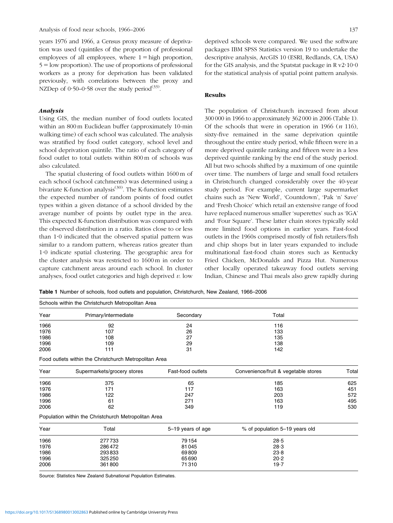years 1976 and 1966, a Census proxy measure of deprivation was used (quintiles of the proportion of professional employees of all employees, where  $1 =$  high proportion,  $5 =$ low proportion). The use of proportions of professional workers as a proxy for deprivation has been validated previously, with correlations between the proxy and NZDep of  $0.50-0.58$  over the study period<sup>[\(33](#page-7-0))</sup>.

#### Analysis

Using GIS, the median number of food outlets located within an 800 m Euclidean buffer (approximately 10-min walking time) of each school was calculated. The analysis was stratified by food outlet category, school level and school deprivation quintile. The ratio of each category of food outlet to total outlets within 800 m of schools was also calculated.

The spatial clustering of food outlets within 1600 m of each school (school catchments) was determined using a bivariate K-function analysis<sup>[\(30\)](#page-7-0)</sup>. The K-function estimates the expected number of random points of food outlet types within a given distance of a school divided by the average number of points by outlet type in the area. This expected K-function distribution was compared with the observed distribution in a ratio. Ratios close to or less than 1.0 indicated that the observed spatial pattern was similar to a random pattern, whereas ratios greater than 1?0 indicate spatial clustering. The geographic area for the cluster analysis was restricted to 1600 m in order to capture catchment areas around each school. In cluster analyses, food outlet categories and high deprived  $v$ . low deprived schools were compared. We used the software packages IBM SPSS Statistics version 19 to undertake the descriptive analysis, ArcGIS 10 (ESRI, Redlands, CA, USA) for the GIS analysis, and the Spatstat package in  $R v2.1000$ for the statistical analysis of spatial point pattern analysis.

#### Results

The population of Christchurch increased from about 300 000 in 1966 to approximately 362 000 in 2006 (Table 1). Of the schools that were in operation in 1966  $(n 116)$ , sixty-five remained in the same deprivation quintile throughout the entire study period, while fifteen were in a more deprived quintile ranking and fifteen were in a less deprived quintile ranking by the end of the study period. All but two schools shifted by a maximum of one quintile over time. The numbers of large and small food retailers in Christchurch changed considerably over the 40-year study period. For example, current large supermarket chains such as 'New World', 'Countdown', 'Pak 'n' Save' and 'Fresh Choice' which retail an extensive range of food have replaced numerous smaller 'superettes' such as 'IGA' and 'Four Square'. These latter chain stores typically sold more limited food options in earlier years. Fast-food outlets in the 1960s comprised mostly of fish retailers/fish and chip shops but in later years expanded to include multinational fast-food chain stores such as Kentucky Fried Chicken, McDonalds and Pizza Hut. Numerous other locally operated takeaway food outlets serving Indian, Chinese and Thai meals also grew rapidly during

|  |  | Table 1 Number of schools, food outlets and population, Christchurch, New Zealand, 1966–2006 |  |  |
|--|--|----------------------------------------------------------------------------------------------|--|--|
|  |  |                                                                                              |  |  |

|      | Schools within the Christchurch Metropolitan Area      |                   |                                      |       |
|------|--------------------------------------------------------|-------------------|--------------------------------------|-------|
| Year | Primary/intermediate                                   | Secondary         | Total                                |       |
| 1966 | 92                                                     | 24                | 116                                  |       |
| 1976 | 107                                                    | 26                | 133                                  |       |
| 1986 | 108                                                    | 27                | 135                                  |       |
| 1996 | 109                                                    | 29                | 138                                  |       |
| 2006 | 111                                                    | 31                | 142                                  |       |
|      | Food outlets within the Christchurch Metropolitan Area |                   |                                      |       |
| Year | Supermarkets/grocery stores                            | Fast-food outlets | Convenience/fruit & vegetable stores | Total |
| 1966 | 375                                                    | 65                | 185                                  | 625   |
| 1976 | 171                                                    | 117               | 163                                  | 451   |
| 1986 | 122                                                    | 247               | 203                                  | 572   |
| 1996 | 61                                                     | 271               | 163                                  | 495   |
| 2006 | 62                                                     | 349               | 119                                  | 530   |
|      | Population within the Christchurch Metropolitan Area   |                   |                                      |       |
| Year | Total                                                  | 5-19 years of age | % of population 5-19 years old       |       |
| 1966 | 277733                                                 | 79 154            | 28.5                                 |       |
| 1976 | 286472                                                 | 81045             | 28.3                                 |       |
| 1986 | 293833                                                 | 69809             | 23.8                                 |       |
| 1996 | 325 250                                                | 65690             | 20.2                                 |       |
| 2006 | 361800                                                 | 71310             | 19.7                                 |       |
|      |                                                        |                   |                                      |       |

Source: Statistics New Zealand Subnational Population Estimates.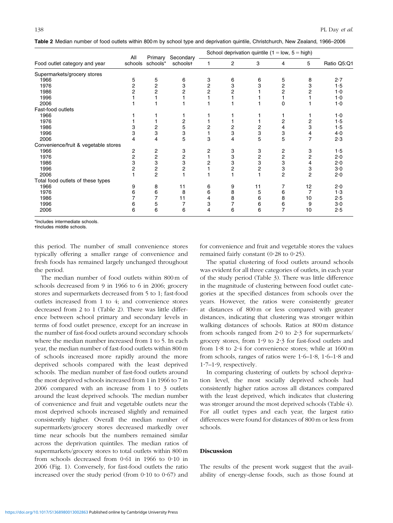|  | Table 2 Median number of food outlets within 800 m by school type and deprivation quintile, Christchurch, New Zealand, 1966-2006 |  |
|--|----------------------------------------------------------------------------------------------------------------------------------|--|
|--|----------------------------------------------------------------------------------------------------------------------------------|--|

|                                      | All            |                             | Secondary               |                         |                | School deprivation quintile ( $1 = low$ , $5 = high$ ) |                |                |             |
|--------------------------------------|----------------|-----------------------------|-------------------------|-------------------------|----------------|--------------------------------------------------------|----------------|----------------|-------------|
| Food outlet category and year        |                | Primary<br>schools schools* | schoolst                |                         | $\overline{2}$ | 3                                                      | 4              | 5              | Ratio Q5:Q1 |
| Supermarkets/grocery stores          |                |                             |                         |                         |                |                                                        |                |                |             |
| 1966                                 | 5              | 5                           | 6                       | 3                       | 6              | 6                                                      | 5              | 8              | 2.7         |
| 1976                                 | 2              | 2                           | 3                       | $\overline{\mathbf{c}}$ | 3              | 3                                                      | $\overline{2}$ | 3              | 1.5         |
| 1986                                 | 2              | 2                           | 2                       | $\overline{c}$          | 2              |                                                        | 2              |                | $1-0$       |
| 1996                                 |                |                             |                         |                         |                |                                                        |                |                | $1-0$       |
| 2006                                 |                |                             |                         |                         |                |                                                        | 0              |                | $1-0$       |
| Fast-food outlets                    |                |                             |                         |                         |                |                                                        |                |                |             |
| 1966                                 |                |                             |                         |                         |                |                                                        |                |                | 1·0         |
| 1976                                 |                |                             | 2                       |                         |                |                                                        | 2              | 2              | 1.5         |
| 1986                                 | 3              | 2                           | 5                       | 2                       | 2              | 2                                                      | 4              | 3              | 1.5         |
| 1996                                 | 3              | 3                           | 3                       |                         | 3              | 3                                                      | 3              | 4              | 4·0         |
| 2006                                 | 4              | 4                           | 5                       | 3                       | 4              | 5                                                      | 5              | $\overline{7}$ | 2.3         |
| Convenience/fruit & vegetable stores |                |                             |                         |                         |                |                                                        |                |                |             |
| 1966                                 | 2              | 2                           | 3                       | 2                       | 3              | 3                                                      | 2              | 3              | 1.5         |
| 1976                                 | 2              |                             | $\overline{\mathbf{c}}$ |                         | 3              |                                                        |                | 2              | 2.0         |
| 1986                                 | 3              | $\frac{2}{3}$               | 3                       | 2                       | 3              | $\frac{2}{3}$                                          | $\frac{2}{3}$  | 4              | 2.0         |
| 1996                                 | $\overline{2}$ | 2                           | $\overline{c}$          |                         | 2              | 2                                                      | 3              | 3              | $3-0$       |
| 2006                                 |                | $\overline{2}$              |                         |                         |                |                                                        | $\overline{2}$ | $\overline{2}$ | 2.0         |
| Total food outlets of these types    |                |                             |                         |                         |                |                                                        |                |                |             |
| 1966                                 | 9              | 8                           | 11                      | 6                       | 9              | 11                                                     | 7              | 12             | 2.0         |
| 1976                                 | 6              | 6                           | 8                       | 6                       | 8              | 5                                                      | 6              | 7              | 1.3         |
| 1986                                 |                |                             | 11                      | 4                       | 8              | 6                                                      | 8              | 10             | 2.5         |
| 1996                                 | 6              | 5                           |                         | 3                       |                | 6                                                      | 6              | 9              | $3-0$       |
| 2006                                 | 6              | 6                           | 6                       | 4                       | 6              | 6                                                      | 7              | 10             | 2.5         |

\*Includes intermediate schools. -Includes middle schools.

this period. The number of small convenience stores typically offering a smaller range of convenience and fresh foods has remained largely unchanged throughout the period.

The median number of food outlets within 800 m of schools decreased from 9 in 1966 to 6 in 2006; grocery stores and supermarkets decreased from 5 to 1; fast-food outlets increased from 1 to 4; and convenience stores decreased from 2 to 1 (Table 2). There was little difference between school primary and secondary levels in terms of food outlet presence, except for an increase in the number of fast-food outlets around secondary schools where the median number increased from 1 to 5. In each year, the median number of fast-food outlets within 800 m of schools increased more rapidly around the more deprived schools compared with the least deprived schools. The median number of fast-food outlets around the most deprived schools increased from 1 in 1966 to 7 in 2006 compared with an increase from 1 to 3 outlets around the least deprived schools. The median number of convenience and fruit and vegetable outlets near the most deprived schools increased slightly and remained consistently higher. Overall the median number of supermarkets/grocery stores decreased markedly over time near schools but the numbers remained similar across the deprivation quintiles. The median ratios of supermarkets/grocery stores to total outlets within 800 m from schools decreased from  $0.61$  in 1966 to  $0.10$  in 2006 ([Fig. 1](#page-4-0)). Conversely, for fast-food outlets the ratio increased over the study period (from  $0.10$  to  $0.67$ ) and

for convenience and fruit and vegetable stores the values remained fairly constant  $(0.28 \text{ to } 0.25)$ .

The spatial clustering of food outlets around schools was evident for all three categories of outlets, in each year of the study period [\(Table 3](#page-5-0)). There was little difference in the magnitude of clustering between food outlet categories at the specified distances from schools over the years. However, the ratios were consistently greater at distances of 800 m or less compared with greater distances, indicating that clustering was stronger within walking distances of schools. Ratios at 800 m distance from schools ranged from  $2.0$  to  $2.3$  for supermarkets/ grocery stores, from  $1.9$  to  $2.3$  for fast-food outlets and from  $1.8$  to  $2.4$  for convenience stores; while at  $1600 \text{ m}$ from schools, ranges of ratios were  $1.6-1.8$ ,  $1.6-1.8$  and  $1.7-1.9$ , respectively.

In comparing clustering of outlets by school deprivation level, the most socially deprived schools had consistently higher ratios across all distances compared with the least deprived, which indicates that clustering was stronger around the most deprived schools [\(Table 4\)](#page-6-0). For all outlet types and each year, the largest ratio differences were found for distances of 800 m or less from schools.

### Discussion

The results of the present work suggest that the availability of energy-dense foods, such as those found at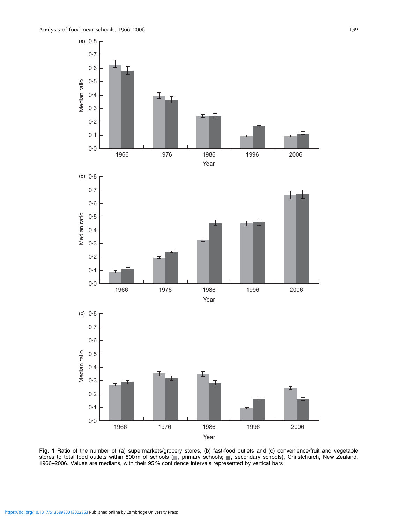<span id="page-4-0"></span>

Fig. 1 Ratio of the number of (a) supermarkets/grocery stores, (b) fast-food outlets and (c) convenience/fruit and vegetable stores to total food outlets within 800 m of schools (, primary schools; , secondary schools), Christchurch, New Zealand, 1966–2006. Values are medians, with their 95 % confidence intervals represented by vertical bars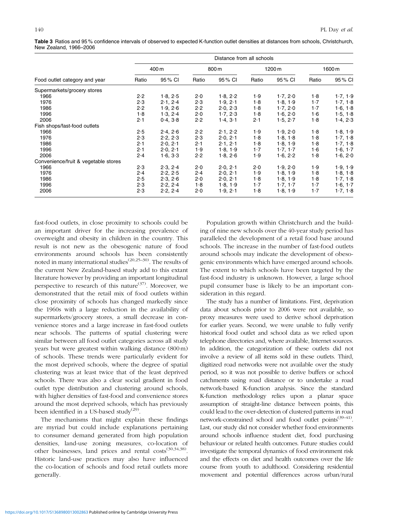<span id="page-5-0"></span>Table 3 Ratios and 95 % confidence intervals of observed to expected K-function outlet densities at distances from schools, Christchurch, New Zealand, 1966–2006

|                                      |       |          |       | Distance from all schools |       |          |       |          |
|--------------------------------------|-------|----------|-------|---------------------------|-------|----------|-------|----------|
|                                      |       | 400 m    |       | 800 m                     |       | 1200 m   |       | 1600 m   |
| Food outlet category and year        | Ratio | 95 % CI  | Ratio | 95% CI                    | Ratio | 95% CI   | Ratio | 95% CI   |
| Supermarkets/grocery stores          |       |          |       |                           |       |          |       |          |
| 1966                                 | 2.2   | 1.8, 2.5 | 2.0   | 1.8, 2.2                  | 1.9   | 1.7, 2.0 | 1.8   | 1.7, 1.9 |
| 1976                                 | 2.3   | 2.1, 2.4 | 2.3   | 1.9, 2.1                  | 1.8   | 1.8, 1.9 | $1-7$ | 1.7, 1.8 |
| 1986                                 | 2.2   | 1.9, 2.6 | 2.2   | 2.0, 2.3                  | 1.8   | 1.7, 2.0 | $1-7$ | 1.6, 1.8 |
| 1996                                 | 1.8   | 1.3, 2.4 | 2.0   | 1.7, 2.3                  | 1.8   | 1.6, 2.0 | 1·6   | 1.5, 1.8 |
| 2006                                 | 2.1   | 0.4, 3.8 | 2.2   | 1.4, 3.1                  | 2.1   | 1.5, 2.7 | 1.8   | 1.4, 2.3 |
| Fish shops/fast-food outlets         |       |          |       |                           |       |          |       |          |
| 1966                                 | 2.5   | 2.4, 2.6 | 2.2   | 2.1, 2.2                  | 1.9   | 1.9, 2.0 | 1.8   | 1.8, 1.9 |
| 1976                                 | 2.3   | 2.2, 2.3 | 2.3   | 2.0, 2.1                  | 1.8   | 1.8, 1.8 | 1.8   | 1.7, 1.8 |
| 1986                                 | 2.1   | 2.0, 2.1 | 2.1   | 2.1, 2.1                  | 1.8   | 1.8, 1.9 | 1.8   | 1.7, 1.8 |
| 1996                                 | 2.1   | 2.0, 2.1 | 1.9   | 1.8, 1.9                  | $1-7$ | 1.7, 1.7 | 1·6   | 1.6, 1.7 |
| 2006                                 | 2.4   | 1.6, 3.3 | 2.2   | 1.8, 2.6                  | 1.9   | 1.6, 2.2 | 1.8   | 1.6, 2.0 |
| Convenience/fruit & vegetable stores |       |          |       |                           |       |          |       |          |
| 1966                                 | 2.3   | 2.3.24   | 2.0   | 2.0.21                    | 2.0   | 1.9.20   | 1.9   | 1.9, 1.9 |
| 1976                                 | 2.4   | 2.2, 2.5 | 2.4   | 2.0, 2.1                  | 1.9   | 1.8, 1.9 | 1.8   | 1.8, 1.8 |
| 1986                                 | 2.5   | 2.3, 2.6 | 2.0   | 2.0, 2.1                  | 1.8   | 1.8, 1.9 | 1.8   | 1.7, 1.8 |
| 1996                                 | 2.3   | 2.2, 2.4 | 1.8   | 1.8, 1.9                  | $1-7$ | 1.7, 1.7 | $1-7$ | 1.6, 1.7 |
| 2006                                 | 2.3   | 2.2, 2.4 | 2.0   | 1.9, 2.1                  | 1.8   | 1.8, 1.9 | $1-7$ | 1.7, 1.8 |

fast-food outlets, in close proximity to schools could be an important driver for the increasing prevalence of overweight and obesity in children in the country. This result is not new as the obesogenic nature of food environments around schools has been consistently noted in many international studies<sup> $(20,25-30)$ </sup>. The results of the current New Zealand-based study add to this extant literature however by providing an important longitudinal perspective to research of this nature<sup> $(37)$  $(37)$ </sup>. Moreover, we demonstrated that the retail mix of food outlets within close proximity of schools has changed markedly since the 1960s with a large reduction in the availability of supermarkets/grocery stores, a small decrease in convenience stores and a large increase in fast-food outlets near schools. The patterns of spatial clustering were similar between all food outlet categories across all study years but were greatest within walking distance (800 m) of schools. These trends were particularly evident for the most deprived schools, where the degree of spatial clustering was at least twice that of the least deprived schools. There was also a clear social gradient in food outlet type distribution and clustering around schools, with higher densities of fast-food and convenience stores around the most deprived schools, which has previously been identified in a US-based study<sup>[\(29](#page-7-0))</sup>.

The mechanisms that might explain these findings are myriad but could include explanations pertaining to consumer demand generated from high population densities, land-use zoning measures, co-location of other businesses, land prices and rental costs<sup>([30,34,38\)](#page-7-0)</sup>. Historic land-use practices may also have influenced the co-location of schools and food retail outlets more generally.

Population growth within Christchurch and the building of nine new schools over the 40-year study period has paralleled the development of a retail food base around schools. The increase in the number of fast-food outlets around schools may indicate the development of obesogenic environments which have emerged around schools. The extent to which schools have been targeted by the fast-food industry is unknown. However, a large school pupil consumer base is likely to be an important consideration in this regard.

The study has a number of limitations. First, deprivation data about schools prior to 2006 were not available, so proxy measures were used to derive school deprivation for earlier years. Second, we were unable to fully verify historical food outlet and school data as we relied upon telephone directories and, where available, Internet sources. In addition, the categorization of these outlets did not involve a review of all items sold in these outlets. Third, digitized road networks were not available over the study period, so it was not possible to derive buffers or school catchments using road distance or to undertake a road network-based K-function analysis. Since the standard K-function methodology relies upon a planar space assumption of straight-line distance between points, this could lead to the over-detection of clustered patterns in road network-constrained school and food outlet points<sup> $(39-41)$ </sup>. Last, our study did not consider whether food environments around schools influence student diet, food purchasing behaviour or related health outcomes. Future studies could investigate the temporal dynamics of food environment risk and the effects on diet and health outcomes over the life course from youth to adulthood. Considering residential movement and potential differences across urban/rural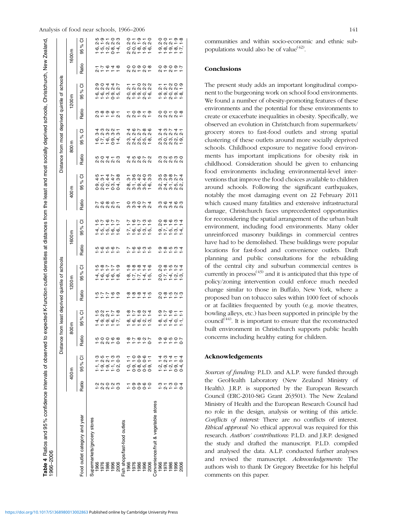# <span id="page-6-0"></span>Analysis of food near schools, 1966–2006 141

| Table 4 Ratios and 95% confidence intervals of observed to<br>1966-2006 |                          |                                                    |                  | expected K-function outlet densities    |                            |                             | ಹ                      |                            |                        |                                                      |                            |                                                                                                                     |                          | distances from the least and most socially deprived schools, Christchurch, New Zealand, |                                                         |                            |
|-------------------------------------------------------------------------|--------------------------|----------------------------------------------------|------------------|-----------------------------------------|----------------------------|-----------------------------|------------------------|----------------------------|------------------------|------------------------------------------------------|----------------------------|---------------------------------------------------------------------------------------------------------------------|--------------------------|-----------------------------------------------------------------------------------------|---------------------------------------------------------|----------------------------|
|                                                                         |                          |                                                    | Distance         | from least deprived quintile of schools |                            |                             |                        |                            |                        |                                                      |                            | Distance from most deprived quintile of                                                                             |                          | schools                                                                                 |                                                         |                            |
|                                                                         |                          | 400 m                                              |                  | 800 m                                   |                            | 1200m                       |                        | 1600 m                     |                        | 400 m                                                |                            | 800 m                                                                                                               |                          | 1200 m                                                                                  |                                                         | 1600 m                     |
| Food outlet category and year                                           | Ratio                    | ō<br>95%                                           | Ratio            | ō<br>್ನೆ<br>$-95$                       | Ratio                      | ō<br>95%                    | Ratio                  | ō<br>ಸಿ<br>.<br>95         | <b>Ratio</b>           | ಠ<br>$\delta$<br>95                                  | Ratio                      | ਠ<br>95%                                                                                                            | Ratio                    | ō<br><sub>26</sub><br>95                                                                | <b>Ratio</b>                                            | ō<br>95%                   |
| Supermarkets/grocery stores                                             |                          |                                                    |                  |                                         |                            |                             |                        |                            |                        |                                                      |                            |                                                                                                                     |                          |                                                                                         |                                                         |                            |
| 1966                                                                    |                          |                                                    |                  |                                         |                            |                             |                        |                            |                        |                                                      |                            |                                                                                                                     |                          |                                                                                         |                                                         |                            |
| 1976                                                                    |                          |                                                    |                  |                                         |                            |                             |                        |                            |                        |                                                      |                            |                                                                                                                     |                          |                                                                                         |                                                         |                            |
| 1986                                                                    | 22028<br>12210           |                                                    | tagto<br>tions   | ち<br>2021-20                            | さいいんじょう こうしょう              | さいいいじょう                     | ب ج ج ج ج<br>ب ج ج ج ج | さいゆうじゅう                    | てる851<br>2222          | 4 i 4 4 i 0<br>1 0 4 4 6 0<br>စ်ဝံလံကံ+<br>ဝံလံ+ဝံဝံ | らいせいじょう こうしょう              | d v v v v l<br>4 v v v v l<br>+++0+<br>+++                                                                          | ω ∞ ∞ ∞ ←<br>∾ ← ← ← ∾   | 9 0 4 4 L<br>9 9 9 4 9 2                                                                | $\frac{1}{2} + \frac{1}{2} + \frac{1}{2} + \frac{1}{2}$ | ω o — o m<br>ci — ci ci ci |
| 1996                                                                    |                          |                                                    |                  |                                         |                            |                             |                        |                            |                        |                                                      |                            |                                                                                                                     |                          |                                                                                         |                                                         |                            |
| 2006                                                                    |                          |                                                    |                  |                                         |                            |                             |                        |                            |                        |                                                      |                            |                                                                                                                     |                          | ဖြစ်ကံ့တံ့ဟ့်<br>←←←ㅇ←                                                                  |                                                         | စ်စ်ပံတစ်<br>←←←ㅇ←         |
| Fish shops/fast-food outlets                                            |                          |                                                    |                  |                                         |                            |                             |                        |                            |                        |                                                      |                            |                                                                                                                     |                          |                                                                                         |                                                         |                            |
| 1966                                                                    |                          | H                                                  |                  |                                         |                            |                             |                        |                            |                        |                                                      |                            |                                                                                                                     |                          |                                                                                         |                                                         |                            |
| 1976                                                                    |                          | $\frac{1}{1}$                                      |                  |                                         |                            |                             |                        |                            |                        |                                                      |                            |                                                                                                                     |                          |                                                                                         |                                                         |                            |
| 1986                                                                    | — ඉඉග <b>ං</b><br>— උරර  | ဝ်တ်ထံ ဟ်တ်<br>←ဝဝဝဝ                               |                  | ーーーーー<br>あいめいす                          | ------<br>-----            | ÷÷÷÷÷<br>∞∞∞∻÷              | トゥゅっぃ<br>ーーーーー         | トゥトゥゥ                      | c c c c c<br>c c c c c | ←ဖလဝက<br>ကကမမက<br>ထံ ←်တံ ທ် ဟ်<br>လေ ကဲ ကဲ ကဲ ←     | 45672452                   | $4\;\circ\!\sim\;\!\sim\;\!\circ\;\!\circ$<br>* * * * *<br>ယ် 4 က က တ<br>$\alpha$ $\alpha$ $\alpha$ $\alpha$ $\tau$ | ーロのーの<br>ベベーベー           | + + 0 0 0<br>0 0 0 0 0<br>ဝ်တ်တ်ဝ်ဖ်<br>လ — — လ —                                       | 00000<br>00101                                          | 0 – 0 – 0<br>0 0 – 0 0     |
| 1996                                                                    |                          | $\frac{6}{10}$                                     |                  |                                         |                            |                             |                        |                            |                        |                                                      |                            |                                                                                                                     |                          |                                                                                         |                                                         |                            |
| 2006                                                                    |                          |                                                    |                  | ထံတ်ထံလက်<br>၁၁၁၁၁                      |                            | = = = = =<br>∞: -: -: 4: n: |                        |                            |                        |                                                      |                            |                                                                                                                     |                          |                                                                                         |                                                         | ဝင်ထံတံထံ<br>ပေးပြစ်ပေး    |
| Convenience/fruit & vegetable stores                                    |                          |                                                    |                  |                                         |                            |                             |                        |                            |                        |                                                      |                            |                                                                                                                     |                          |                                                                                         |                                                         |                            |
| 1966                                                                    |                          |                                                    |                  |                                         |                            |                             |                        |                            |                        |                                                      |                            |                                                                                                                     |                          |                                                                                         |                                                         |                            |
| 1976                                                                    |                          |                                                    |                  |                                         |                            |                             |                        |                            |                        |                                                      |                            |                                                                                                                     |                          |                                                                                         |                                                         |                            |
| 1986                                                                    |                          |                                                    |                  |                                         |                            |                             |                        |                            |                        |                                                      |                            |                                                                                                                     |                          |                                                                                         |                                                         |                            |
| 1996                                                                    | - 9 - - - 0<br>- 9 - - 0 | t g t t g<br>4 ω 4 1 4<br>----00<br>----00<br>---- | 000001<br>000001 |                                         | 0 0 0 0 0 0<br>0 0 0 0 0 0 | o o o o o 4<br>O o o o 4    | ------<br>-----        | 0 0 0 0 0 4<br>0 0 0 0 0 4 | ううしょう<br>こうしょう         | さくらきこう<br>さいこうこう<br>$\alpha$ $4 - \alpha$ $\alpha$   | co co co co<br>co co co co | きらてす!<br>とうこうとう<br>.<br>ကြံဝံကိုလ်တဲ့<br><b>QQQQQ</b>                                                               | 00 - 0 :<br>0 :0 :0 :0 - | ーー 200<br>2221                                                                          | o の o の r<br>ベ ー ベ ー ー                                  | 00 - 0 0<br>0 0 0 - 0      |
| 2006                                                                    |                          |                                                    |                  |                                         |                            | oracio<br>oracio            |                        |                            |                        |                                                      |                            |                                                                                                                     |                          | တ်တ်ဝ်တ်ထံ<br>←←လဴ←←                                                                    |                                                         | တ်ထံတံထံု                  |

communities and within socio-economic and ethnic subpopulations would also be of value $(42)$ .

#### Conclusions

The present study adds an important longitudinal component to the burgeoning work on school food environments. We found a number of obesity-promoting features of these environments and the potential for these environments to create or exacerbate inequalities in obesity. Specifically, we observed an evolution in Christchurch from supermarkets/ grocery stores to fast-food outlets and strong spatial clustering of these outlets around more socially deprived schools. Childhood exposure to negative food environments has important implications for obesity risk in childhood. Consideration should be given to enhancing food environments including environmental-level interventions that improve the food choices available to children around schools. Following the significant earthquakes, notably the most damaging event on 22 February 2011 which caused many fatalities and extensive infrastructural damage, Christchurch faces unprecedented opportunities for reconsidering the spatial arrangement of the urban built environment, including food environments. Many older unreinforced masonry buildings in commercial centres have had to be demolished. These buildings were popular locations for fast-food and convenience outlets. Draft planning and public consultations for the rebuilding of the central city and suburban commercial centres is currently in process<sup> $(43)$ </sup> and it is anticipated that this type of policy/zoning intervention could enforce much needed change similar to those in Buffalo, New York, where a proposed ban on tobacco sales within 1000 feet of schools or at facilities frequented by youth (e.g. movie theatres, bowling alleys, etc.) has been supported in principle by the council<sup>[\(44](#page-7-0))</sup>. It is important to ensure that the reconstructed built environment in Christchurch supports public health concerns including healthy eating for children.

#### Acknowledgements

Sources of funding: P.L.D. and A.L.P. were funded through the GeoHealth Laboratory (New Zealand Ministry of Health). J.R.P. is supported by the European Research Council (ERC-2010-StG Grant 263501). The New Zealand Ministry of Health and the European Research Council had no role in the design, analysis or writing of this article. Conflicts of interest: There are no conflicts of interest. Ethical approval: No ethical approval was required for this research. Authors' contributions: P.L.D. and J.R.P. designed the study and drafted the manuscript. P.L.D. compiled and analysed the data. A.L.P. conducted further analyses and revised the manuscript. Acknowledgements: The authors wish to thank Dr Gregory Breetzke for his helpful comments on this paper.